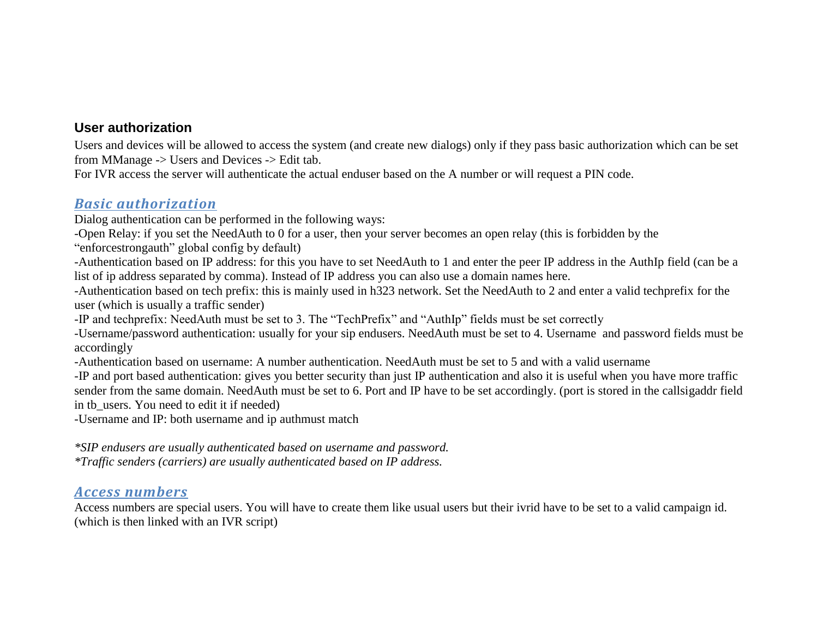#### **User authorization**

Users and devices will be allowed to access the system (and create new dialogs) only if they pass basic authorization which can be set from MManage -> Users and Devices -> Edit tab.

For IVR access the server will authenticate the actual enduser based on the A number or will request a PIN code.

## *Basic authorization*

Dialog authentication can be performed in the following ways:

-Open Relay: if you set the NeedAuth to 0 for a user, then your server becomes an open relay (this is forbidden by the

"enforcestrongauth" global config by default)

-Authentication based on IP address: for this you have to set NeedAuth to 1 and enter the peer IP address in the AuthIp field (can be a list of ip address separated by comma). Instead of IP address you can also use a domain names here.

-Authentication based on tech prefix: this is mainly used in h323 network. Set the NeedAuth to 2 and enter a valid techprefix for the user (which is usually a traffic sender)

-IP and techprefix: NeedAuth must be set to 3. The "TechPrefix" and "AuthIp" fields must be set correctly

-Username/password authentication: usually for your sip endusers. NeedAuth must be set to 4. Username and password fields must be accordingly

-Authentication based on username: A number authentication. NeedAuth must be set to 5 and with a valid username

-IP and port based authentication: gives you better security than just IP authentication and also it is useful when you have more traffic sender from the same domain. NeedAuth must be set to 6. Port and IP have to be set accordingly. (port is stored in the callsigaddr field in tb\_users. You need to edit it if needed)

-Username and IP: both username and ip authmust match

*\*SIP endusers are usually authenticated based on username and password. \*Traffic senders (carriers) are usually authenticated based on IP address.*

## *Access numbers*

Access numbers are special users. You will have to create them like usual users but their ivrid have to be set to a valid campaign id. (which is then linked with an IVR script)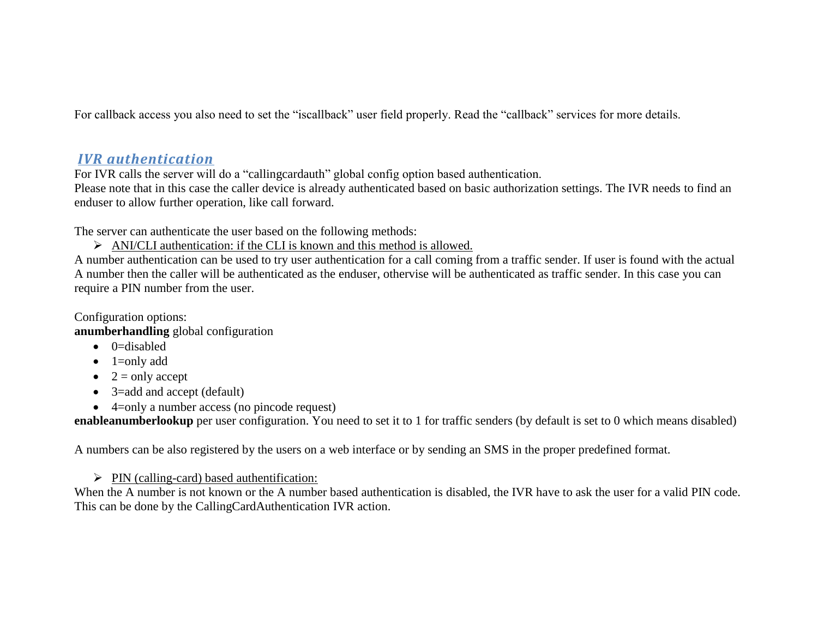For callback access you also need to set the "iscallback" user field properly. Read the "callback" services for more details.

# *IVR authentication*

For IVR calls the server will do a "callingcardauth" global config option based authentication.

Please note that in this case the caller device is already authenticated based on basic authorization settings. The IVR needs to find an enduser to allow further operation, like call forward.

The server can authenticate the user based on the following methods:

 $\triangleright$  ANI/CLI authentication: if the CLI is known and this method is allowed.

A number authentication can be used to try user authentication for a call coming from a traffic sender. If user is found with the actual A number then the caller will be authenticated as the enduser, othervise will be authenticated as traffic sender. In this case you can require a PIN number from the user.

Configuration options:

**anumberhandling** global configuration

- $\bullet$  0=disabled
- $\bullet$  1=only add
- $\bullet$  2 = only accept
- 3=add and accept (default)
- 4=only a number access (no pincode request)

**enableanumberlookup** per user configuration. You need to set it to 1 for traffic senders (by default is set to 0 which means disabled)

A numbers can be also registered by the users on a web interface or by sending an SMS in the proper predefined format.

 $\triangleright$  PIN (calling-card) based authentification:

When the A number is not known or the A number based authentication is disabled, the IVR have to ask the user for a valid PIN code. This can be done by the CallingCardAuthentication IVR action.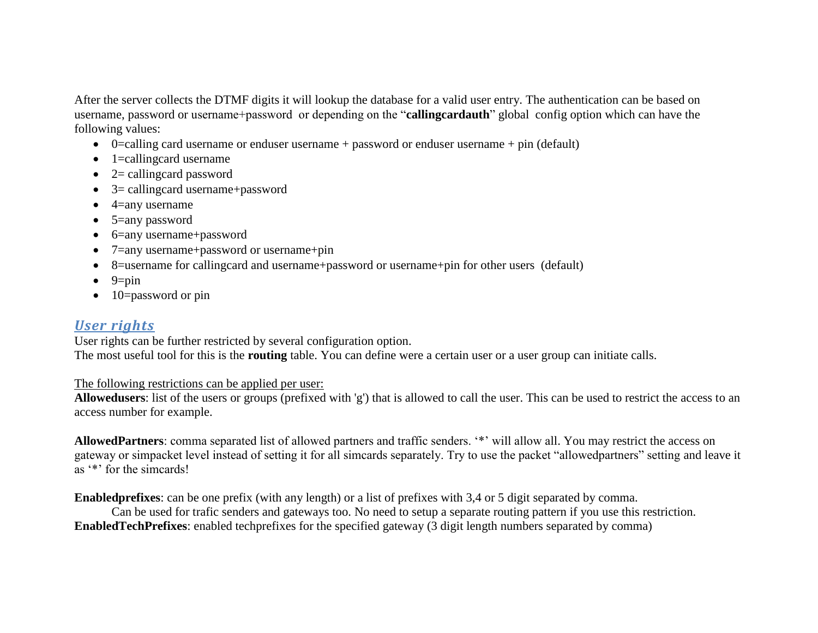After the server collects the DTMF digits it will lookup the database for a valid user entry. The authentication can be based on username, password or username+password or depending on the "**callingcardauth**" global config option which can have the following values:

- $\bullet$  0=calling card username or enduser username + password or enduser username + pin (default)
- $\bullet$  1=callingcard username
- $\bullet$  2= callingcard password
- 3= callingcard username+password
- $\bullet$  4=any username
- 5=any password
- 6=any username+password
- 7=any username+password or username+pin
- 8=username for callingcard and username+password or username+pin for other users (default)
- $\bullet$  9=pin
- $\bullet$  10=password or pin

# *User rights*

User rights can be further restricted by several configuration option. The most useful tool for this is the **routing** table. You can define were a certain user or a user group can initiate calls.

#### The following restrictions can be applied per user:

**Allowedusers**: list of the users or groups (prefixed with 'g') that is allowed to call the user. This can be used to restrict the access to an access number for example.

AllowedPartners: comma separated list of allowed partners and traffic senders. "\*" will allow all. You may restrict the access on gateway or simpacket level instead of setting it for all simcards separately. Try to use the packet "allowedpartners" setting and leave it as "\*" for the sime and s!

**Enabledprefixes**: can be one prefix (with any length) or a list of prefixes with 3,4 or 5 digit separated by comma.

Can be used for trafic senders and gateways too. No need to setup a separate routing pattern if you use this restriction. **EnabledTechPrefixes**: enabled techprefixes for the specified gateway (3 digit length numbers separated by comma)